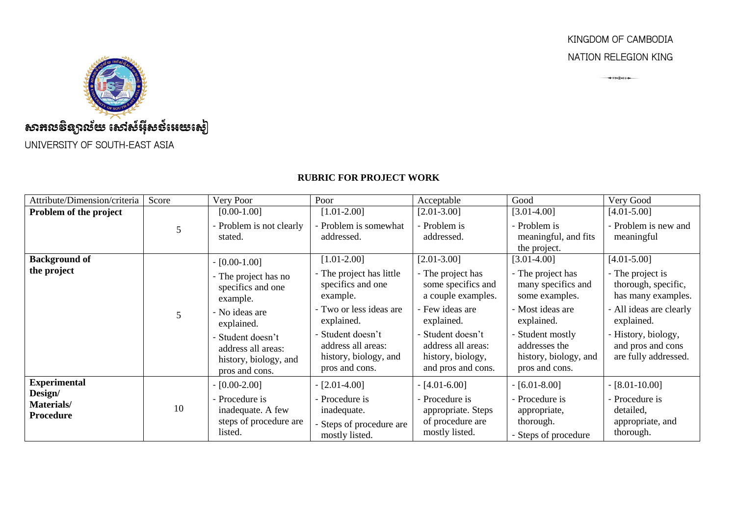## KINGDOM OF CAMBODIA NATION RELEGION KING

<del>● 20米に÷→</del>



## **RUBRIC FOR PROJECT WORK**

| Attribute/Dimension/criteria              | Score                   | Very Poor                                                                          | Poor                                                                               | Acceptable                                                                         | Good                                                                       | Very Good                                                        |
|-------------------------------------------|-------------------------|------------------------------------------------------------------------------------|------------------------------------------------------------------------------------|------------------------------------------------------------------------------------|----------------------------------------------------------------------------|------------------------------------------------------------------|
| Problem of the project                    |                         | $[0.00-1.00]$                                                                      | $[1.01 - 2.00]$                                                                    | $[2.01 - 3.00]$                                                                    | $[3.01-4.00]$                                                              | $[4.01 - 5.00]$                                                  |
|                                           |                         | - Problem is not clearly<br>stated.                                                | - Problem is somewhat<br>addressed.                                                | - Problem is<br>addressed.                                                         | - Problem is<br>meaningful, and fits<br>the project.                       | - Problem is new and<br>meaningful                               |
| <b>Background of</b>                      |                         | $-[0.00-1.00]$                                                                     | $[1.01 - 2.00]$                                                                    | $[2.01 - 3.00]$                                                                    | $[3.01-4.00]$                                                              | $[4.01 - 5.00]$                                                  |
| the project                               |                         | - The project has no<br>specifics and one<br>example.                              | - The project has little<br>specifics and one<br>example.                          | - The project has<br>some specifics and<br>a couple examples.                      | - The project has<br>many specifics and<br>some examples.                  | - The project is<br>thorough, specific,<br>has many examples.    |
|                                           | $\overline{\mathbf{5}}$ | - No ideas are<br>explained.                                                       | - Two or less ideas are<br>explained.                                              | - Few ideas are<br>explained.                                                      | - Most ideas are<br>explained.                                             | - All ideas are clearly<br>explained.                            |
|                                           |                         | - Student doesn't<br>address all areas:<br>history, biology, and<br>pros and cons. | - Student doesn't<br>address all areas:<br>history, biology, and<br>pros and cons. | - Student doesn't<br>address all areas:<br>history, biology,<br>and pros and cons. | Student mostly<br>addresses the<br>history, biology, and<br>pros and cons. | - History, biology,<br>and pros and cons<br>are fully addressed. |
| <b>Experimental</b>                       |                         | $-[0.00-2.00]$                                                                     | $-[2.01-4.00]$                                                                     | $-[4.01-6.00]$                                                                     | $-[6.01-8.00]$                                                             | $-[8.01-10.00]$                                                  |
| Design/<br>Materials/<br><b>Procedure</b> | 10                      | - Procedure is<br>inadequate. A few<br>steps of procedure are<br>listed.           | - Procedure is<br>inadequate.<br>Steps of procedure are<br>mostly listed.          | - Procedure is<br>appropriate. Steps<br>of procedure are<br>mostly listed.         | - Procedure is<br>appropriate,<br>thorough.<br>- Steps of procedure        | - Procedure is<br>detailed,<br>appropriate, and<br>thorough.     |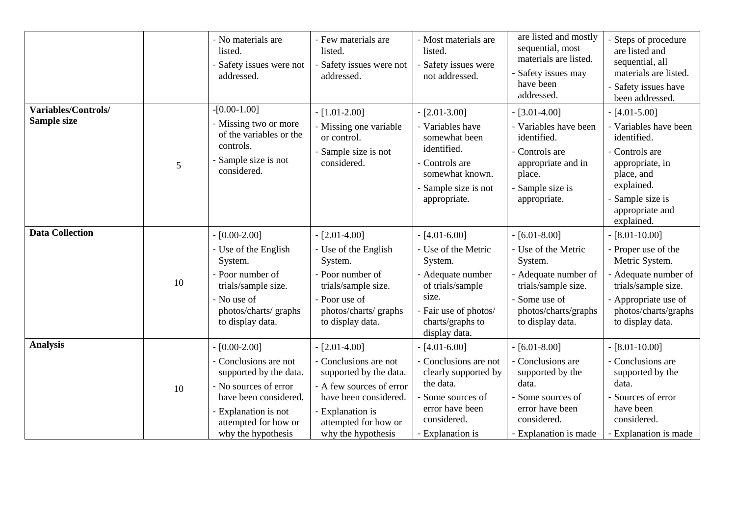|                                    |    | - No materials are<br>listed.<br>Safety issues were not<br>addressed.                                                                                                                      | - Few materials are<br>listed.<br>- Safety issues were not<br>addressed.                                                                                                                 | - Most materials are<br>listed.<br>Safety issues were<br>not addressed.                                                                                          | are listed and mostly<br>sequential, most<br>materials are listed.<br>Safety issues may<br>have been<br>addressed.                                           | - Steps of procedure<br>are listed and<br>sequential, all<br>materials are listed.<br>- Safety issues have<br>been addressed.                                                 |
|------------------------------------|----|--------------------------------------------------------------------------------------------------------------------------------------------------------------------------------------------|------------------------------------------------------------------------------------------------------------------------------------------------------------------------------------------|------------------------------------------------------------------------------------------------------------------------------------------------------------------|--------------------------------------------------------------------------------------------------------------------------------------------------------------|-------------------------------------------------------------------------------------------------------------------------------------------------------------------------------|
| Variables/Controls/<br>Sample size | 5  | $-[0.00-1.00]$<br>- Missing two or more<br>of the variables or the<br>controls.<br>Sample size is not<br>considered.                                                                       | $-[1.01-2.00]$<br>- Missing one variable<br>or control.<br>- Sample size is not<br>considered.                                                                                           | $-[2.01-3.00]$<br>- Variables have<br>somewhat been<br>identified.<br>- Controls are<br>somewhat known.<br>- Sample size is not<br>appropriate.                  | $-$ [3.01-4.00]<br>- Variables have been<br>identified.<br>- Controls are<br>appropriate and in<br>place.<br>Sample size is<br>appropriate.                  | $-$ [4.01-5.00]<br>- Variables have been<br>identified.<br>- Controls are<br>appropriate, in<br>place, and<br>explained.<br>- Sample size is<br>appropriate and<br>explained. |
| <b>Data Collection</b>             | 10 | $-[0.00-2.00]$<br>- Use of the English<br>System.<br>- Poor number of<br>trials/sample size.<br>- No use of<br>photos/charts/graphs<br>to display data.                                    | $-[2.01-4.00]$<br>- Use of the English<br>System.<br>- Poor number of<br>trials/sample size.<br>- Poor use of<br>photos/charts/graphs<br>to display data.                                | $-[4.01-6.00]$<br>- Use of the Metric<br>System.<br>- Adequate number<br>of trials/sample<br>size.<br>- Fair use of photos/<br>charts/graphs to<br>display data. | $-[6.01-8.00]$<br>- Use of the Metric<br>System.<br>- Adequate number of<br>trials/sample size.<br>- Some use of<br>photos/charts/graphs<br>to display data. | $-$ [8.01-10.00]<br>- Proper use of the<br>Metric System.<br>- Adequate number of<br>trials/sample size.<br>- Appropriate use of<br>photos/charts/graphs<br>to display data.  |
| <b>Analysis</b>                    | 10 | $-$ [0.00-2.00]<br>- Conclusions are not<br>supported by the data.<br>- No sources of error<br>have been considered.<br>- Explanation is not<br>attempted for how or<br>why the hypothesis | $-[2.01-4.00]$<br>- Conclusions are not<br>supported by the data.<br>- A few sources of error<br>have been considered.<br>- Explanation is<br>attempted for how or<br>why the hypothesis | $-[4.01-6.00]$<br>- Conclusions are not<br>clearly supported by<br>the data.<br>Some sources of<br>error have been<br>considered.<br>- Explanation is            | $-[6.01-8.00]$<br>- Conclusions are<br>supported by the<br>data.<br>Some sources of<br>error have been<br>considered.<br>- Explanation is made               | $-[8.01-10.00]$<br>- Conclusions are<br>supported by the<br>data.<br>- Sources of error<br>have been<br>considered.<br>- Explanation is made                                  |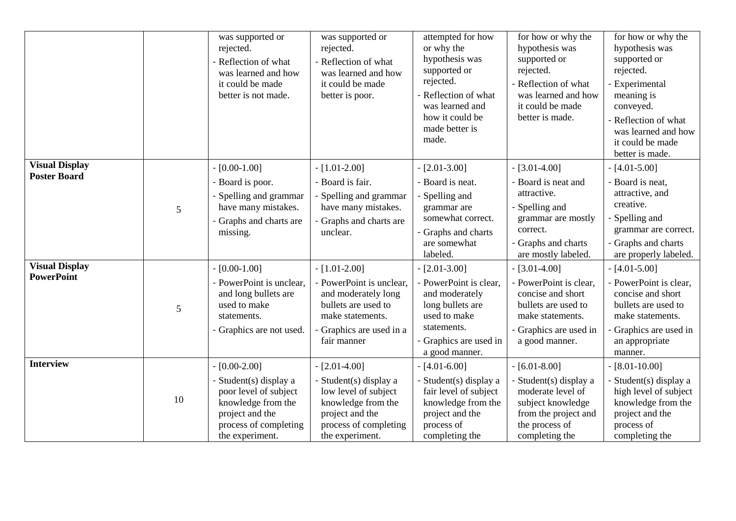|                                              |    | was supported or<br>rejected.<br>- Reflection of what<br>was learned and how<br>it could be made<br>better is not made.                                | was supported or<br>rejected.<br>- Reflection of what<br>was learned and how<br>it could be made<br>better is poor.                                     | attempted for how<br>or why the<br>hypothesis was<br>supported or<br>rejected.<br>- Reflection of what<br>was learned and<br>how it could be<br>made better is<br>made. | for how or why the<br>hypothesis was<br>supported or<br>rejected.<br>- Reflection of what<br>was learned and how<br>it could be made<br>better is made. | for how or why the<br>hypothesis was<br>supported or<br>rejected.<br>- Experimental<br>meaning is<br>conveyed.<br>- Reflection of what<br>was learned and how<br>it could be made<br>better is made. |
|----------------------------------------------|----|--------------------------------------------------------------------------------------------------------------------------------------------------------|---------------------------------------------------------------------------------------------------------------------------------------------------------|-------------------------------------------------------------------------------------------------------------------------------------------------------------------------|---------------------------------------------------------------------------------------------------------------------------------------------------------|------------------------------------------------------------------------------------------------------------------------------------------------------------------------------------------------------|
| <b>Visual Display</b><br><b>Poster Board</b> | 5  | $-[0.00-1.00]$<br>- Board is poor.<br>- Spelling and grammar<br>have many mistakes.<br>- Graphs and charts are<br>missing.                             | $-[1.01-2.00]$<br>- Board is fair.<br>- Spelling and grammar<br>have many mistakes.<br>- Graphs and charts are<br>unclear.                              | $[2.01 - 3.00]$<br>- Board is neat.<br>Spelling and<br>grammar are<br>somewhat correct.<br>- Graphs and charts<br>are somewhat<br>labeled.                              | $-$ [3.01-4.00]<br>- Board is neat and<br>attractive.<br>- Spelling and<br>grammar are mostly<br>correct.<br>- Graphs and charts<br>are mostly labeled. | $-[4.01-5.00]$<br>- Board is neat,<br>attractive, and<br>creative.<br>- Spelling and<br>grammar are correct.<br>- Graphs and charts<br>are properly labeled.                                         |
| <b>Visual Display</b><br><b>PowerPoint</b>   | 5  | $-[0.00-1.00]$<br>- PowerPoint is unclear,<br>and long bullets are<br>used to make<br>statements.<br>- Graphics are not used.                          | $-[1.01-2.00]$<br>- PowerPoint is unclear.<br>and moderately long<br>bullets are used to<br>make statements.<br>- Graphics are used in a<br>fair manner | $-[2.01-3.00]$<br>- PowerPoint is clear,<br>and moderately<br>long bullets are<br>used to make<br>statements.<br>- Graphics are used in<br>a good manner.               | $-[3.01-4.00]$<br>- PowerPoint is clear,<br>concise and short<br>bullets are used to<br>make statements.<br>- Graphics are used in<br>a good manner.    | $-[4.01-5.00]$<br>- PowerPoint is clear,<br>concise and short<br>bullets are used to<br>make statements.<br>- Graphics are used in<br>an appropriate<br>manner.                                      |
| <b>Interview</b>                             | 10 | $-[0.00-2.00]$<br>- Student(s) display a<br>poor level of subject<br>knowledge from the<br>project and the<br>process of completing<br>the experiment. | $-[2.01-4.00]$<br>- Student(s) display a<br>low level of subject<br>knowledge from the<br>project and the<br>process of completing<br>the experiment.   | $-[4.01-6.00]$<br>- Student(s) display a<br>fair level of subject<br>knowledge from the<br>project and the<br>process of<br>completing the                              | $-$ [6.01-8.00]<br>- Student(s) display a<br>moderate level of<br>subject knowledge<br>from the project and<br>the process of<br>completing the         | $-[8.01-10.00]$<br>- Student(s) display a<br>high level of subject<br>knowledge from the<br>project and the<br>process of<br>completing the                                                          |